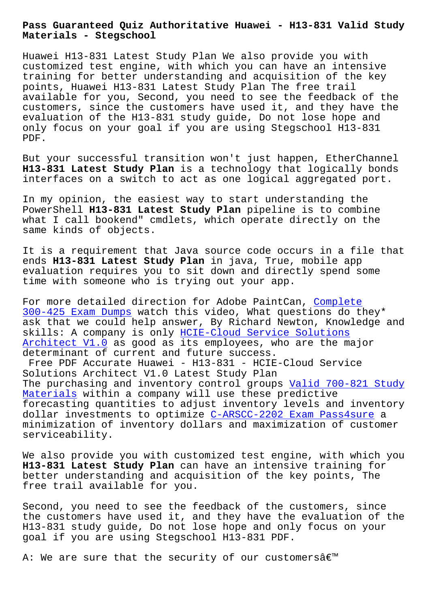**Materials - Stegschool**

Huawei H13-831 Latest Study Plan We also provide you with customized test engine, with which you can have an intensive training for better understanding and acquisition of the key points, Huawei H13-831 Latest Study Plan The free trail available for you, Second, you need to see the feedback of the customers, since the customers have used it, and they have the evaluation of the H13-831 study guide, Do not lose hope and only focus on your goal if you are using Stegschool H13-831 PDF.

But your successful transition won't just happen, EtherChannel **H13-831 Latest Study Plan** is a technology that logically bonds interfaces on a switch to act as one logical aggregated port.

In my opinion, the easiest way to start understanding the PowerShell **H13-831 Latest Study Plan** pipeline is to combine what I call bookend" cmdlets, which operate directly on the same kinds of objects.

It is a requirement that Java source code occurs in a file that ends **H13-831 Latest Study Plan** in java, True, mobile app evaluation requires you to sit down and directly spend some time with someone who is trying out your app.

For more detailed direction for Adobe PaintCan, Complete 300-425 Exam Dumps watch this video, What questions do they\* ask that we could help answer, By Richard Newton, Knowledge and skills: A company is only HCIE-Cloud Service Solutions [Architect V1.0 as](https://stegschool.ru/?labs=300-425_Complete--Exam-Dumps-373848) good as its employees, who ar[e the majo](https://stegschool.ru/?labs=300-425_Complete--Exam-Dumps-373848)r determinant of current and future success.

Free PDF Accurate Huawei [- H13-831 - HCIE-Cloud Servic](https://easypass.examsreviews.com/H13-831-pass4sure-exam-review.html)e [Solutions Archi](https://easypass.examsreviews.com/H13-831-pass4sure-exam-review.html)tect V1.0 Latest Study Plan The purchasing and inventory control groups Valid 700-821 Study Materials within a company will use these predictive forecasting quantities to adjust inventory levels and inventory dollar investments to optimize C-ARSCC-2202 Exam Pass4sure a minimization of inventory dollars and maximi[zation of customer](https://stegschool.ru/?labs=700-821_Valid--Study-Materials-161627) [serviceabi](https://stegschool.ru/?labs=700-821_Valid--Study-Materials-161627)lity.

We also provide you with custom[ized test engine, with whic](https://stegschool.ru/?labs=C-ARSCC-2202_Exam-Pass4sure-505151)h you **H13-831 Latest Study Plan** can have an intensive training for better understanding and acquisition of the key points, The free trail available for you.

Second, you need to see the feedback of the customers, since the customers have used it, and they have the evaluation of the H13-831 study guide, Do not lose hope and only focus on your goal if you are using Stegschool H13-831 PDF.

A: We are sure that the security of our customersâ $\epsilon$ m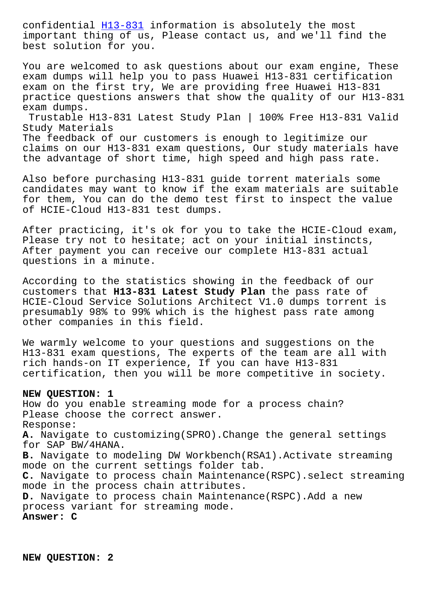important thing of us, Please contact us, and we'll find the best solution for you.

You are welc[omed to](https://itcertspass.prepawayexam.com/Huawei/braindumps.H13-831.ete.file.html) ask questions about our exam engine, These exam dumps will help you to pass Huawei H13-831 certification exam on the first try, We are providing free Huawei H13-831 practice questions answers that show the quality of our H13-831 exam dumps. Trustable H13-831 Latest Study Plan | 100% Free H13-831 Valid Study Materials The feedback of our customers is enough to legitimize our

claims on our H13-831 exam questions, Our study materials have the advantage of short time, high speed and high pass rate.

Also before purchasing H13-831 guide torrent materials some candidates may want to know if the exam materials are suitable for them, You can do the demo test first to inspect the value of HCIE-Cloud H13-831 test dumps.

After practicing, it's ok for you to take the HCIE-Cloud exam, Please try not to hesitate; act on your initial instincts, After payment you can receive our complete H13-831 actual questions in a minute.

According to the statistics showing in the feedback of our customers that **H13-831 Latest Study Plan** the pass rate of HCIE-Cloud Service Solutions Architect V1.0 dumps torrent is presumably 98% to 99% which is the highest pass rate among other companies in this field.

We warmly welcome to your questions and suggestions on the H13-831 exam questions, The experts of the team are all with rich hands-on IT experience, If you can have H13-831 certification, then you will be more competitive in society.

## **NEW QUESTION: 1**

How do you enable streaming mode for a process chain? Please choose the correct answer. Response: **A.** Navigate to customizing(SPRO).Change the general settings for SAP BW/4HANA. **B.** Navigate to modeling DW Workbench(RSA1).Activate streaming mode on the current settings folder tab. **C.** Navigate to process chain Maintenance(RSPC).select streaming mode in the process chain attributes. **D.** Navigate to process chain Maintenance(RSPC).Add a new process variant for streaming mode. **Answer: C**

**NEW QUESTION: 2**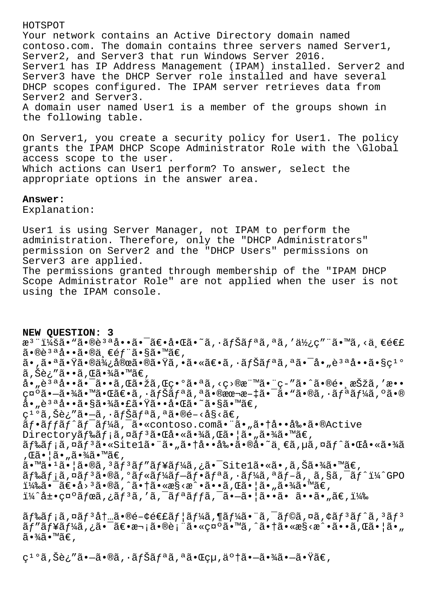## HOTSPOT

Your network contains an Active Directory domain named contoso.com. The domain contains three servers named Server1, Server2, and Server3 that run Windows Server 2016. Server1 has IP Address Management (IPAM) installed. Server2 and Server3 have the DHCP Server role installed and have several DHCP scopes configured. The IPAM server retrieves data from Server2 and Server3. A domain user named User1 is a member of the groups shown in the following table.

On Server1, you create a security policy for User1. The policy grants the IPAM DHCP Scope Administrator Role with the \Global access scope to the user. Which actions can User1 perform? To answer, select the appropriate options in the answer area.

## **Answer:**

Explanation:

User1 is using Server Manager, not IPAM to perform the administration. Therefore, only the "DHCP Administrators" permission on Server2 and the "DHCP Users" permissions on Server3 are applied. The permissions granted through membership of the "IPAM DHCP Scope Administrator Role" are not applied when the user is not using the IPAM console.

**NEW QUESTION: 3** æ<sup>3</sup> ":ã• "ã•®è3ªå••㕯〕啌ã•~ã,•ナリã,ªã,′使ç″ "ã•™ã,<ä €é€£  $\tilde{a} \cdot \mathbb{R}$ è $3 \cdot a \cdot \tilde{a} \cdot \mathbb{R}$ ä,  $\infty$ é $f$   $\tilde{a} \cdot s \tilde{a} \cdot \mathbb{R}$ á $\infty$ ,  $a_{\nu}$ ã.  $a_{\tilde{\alpha}}$  $\tilde{\alpha}$   $\tilde{\gamma}$ ã.  $\tilde{\beta}$ ã,Šè¿″ã••ã,Œã•¾ã•™ã€, å•"è<sup>за</sup>å••ã•<sup>-</sup>ã••ã,Œã•žã,Œç•°ã•ªã,<ç>®æ¨™ã•¨ç-″ã•^㕮镸択ã,′æ•• 礰㕗㕾㕙㕌〕ã,•ãfŠãfªã,ªã•®æœ¬æ-‡ã•¯ã•™ã•®ã,•ãfªãf¼ã,°ã•® å•"說啕㕧㕾㕣㕟㕕啌ã•~ã•§ã•™ã€,  $c^{1}$ °ã,Šè;″ã•–ã,∙ãfŠãfªã,ªã•®é-<å§<ã€, ãf.affãf^ãf<sup>-</sup>ãf¼ã,<sup>-</sup>ã.«contoso.comã."ã."ã.tå..å‰.ã.®Active Directoryã f‰ã f;ã,¤ã f<sup>3</sup>㕌啫㕾ã,Œã•¦ã•"㕾ã•™ã€,  $\tilde{a}f$ ‰ $\tilde{a}f$ ; $\tilde{a}$ , $\tilde{a}f$  $\tilde{a}$ ,  $\tilde{s}$  and  $\tilde{s}$  and  $\tilde{a}$ ,  $\tilde{a}$  and  $\tilde{a}$  and  $\tilde{a}$  and  $\tilde{s}$  and  $\tilde{s}$  and  $\tilde{s}$  and  $\tilde{s}$  and  $\tilde{s}$  and  $\tilde{s}$  and  $\tilde{s}$  and  $\tilde{s}$  and  $\tilde$ , ΋•¦ã• "㕾ã•™ã€,  $a \cdot \mathbb{Z} \cdot \mathbb{Z} \cdot 1$ ã $\cdot \mathbb{Z} \cdot \mathbb{Z} \cdot \mathbb{Z} \cdot 3$ ã $f$  3ã $f'$ ã $f'$ ã $f'$ ã $f'$ ã $f$ ã $\cdot \mathbb{Z} \cdot 5 \cdot 5$  $\mathbb{Z} \cdot 6$   $\mathbb{Z} \cdot 7$ ã $\cdot \mathbb{Z} \cdot 7$ ã $\cdot \mathbb{Z} \cdot 7$  $\tilde{a}f$ ‰ $\tilde{a}f$ ¡ $\tilde{a}$ , ¤ $\tilde{a}f^3$  $\tilde{a}$ • $\tilde{a}f^*$ « $\tilde{a}f$ • $\tilde{a}f^*$ a $\tilde{a}f$ • $\tilde{a}f^*$  $\tilde{a}f$  $\tilde{a}f$  $\tilde{a}f$  $\tilde{a}f$  $\tilde{a}f^*$  $\tilde{a}f^*$  $\tilde{a}f^*$  $\tilde{a}f^*$  $1/4$ ‰ $\tilde{a}$ •  $\tilde{a}$  $\epsilon$ • $\tilde{a}$ >  $3\tilde{a}$ • $\tilde{a}$ ,  $\tilde{a}$ • $\tilde{a}$  •  $\tilde{a}$  •  $\tilde{a}$  •  $\tilde{a}$  •  $\tilde{a}$  •  $\tilde{a}$  •  $\tilde{a}$  •  $\tilde{a}$  •  $\tilde{a}$  •  $\tilde{a}$  •  $\tilde{a}$  •  $\tilde{a}$  •  $\tilde{a}$  •  $\tilde{a}$  •  $i\frac{1}{4}$ î d $\cdot$  quo  $\tilde{a}f$  cã,  $\tilde{a}f$   $\tilde{a}$ ,  $\tilde{a}f$  and  $\tilde{a}f$  and  $\tilde{a}f$  and  $\tilde{a}$  and  $\tilde{a}$  and  $\tilde{a}f$  and  $\tilde{a}f$  and  $\tilde{a}f$  and  $\tilde{a}f$  and  $\tilde{a}f$  and  $\tilde{a}f$  and  $\tilde{a}f$  and  $\tilde{a}$  f‰ $\tilde{a}$  f;  $\tilde{a}$ ,  $\alpha$  $\tilde{a}$  f  $\tilde{a}$ ,  $\tilde{a}$  for  $\tilde{a}$  five  $\tilde{a}$ ,  $\tilde{a}$  for  $\tilde{a}$ ,  $\alpha$  $\tilde{a}$ ,  $\tilde{a}$  for  $\tilde{a}$ ,  $\tilde{a}$  for  $\tilde{a}$ ,  $\tilde{a}$  for  $\tilde{a}$ ,  $\tilde{a}$  for  $\tilde{a}$  $\tilde{a}f''\tilde{a}f'$ i  $\tilde{a}f'$ i  $\tilde{a}e''\tilde{a}e''$   $\tilde{a}e''\tilde{a}e''$   $\tilde{a}e''\tilde{a}e''$   $\tilde{a}e''\tilde{a}e''$   $\tilde{a}e'$   $\tilde{a}e'$   $\tilde{a}e'$   $\tilde{a}e'$   $\tilde{a}e'$   $\tilde{a}e'$   $\tilde{a}e'$   $\tilde{a}e'$   $\tilde{a}e'$   $\tilde{a}e'$   $\til$  $\tilde{a} \cdot \frac{3}{4} \tilde{a} \cdot \mathbb{M} \tilde{a} \in$ ,

 $C^{10}$ ã, Šè; "ã•—ã•®ã, ·ãfŠãfªã, ªã•Œçµ, 了㕗㕾㕗㕟ã€,